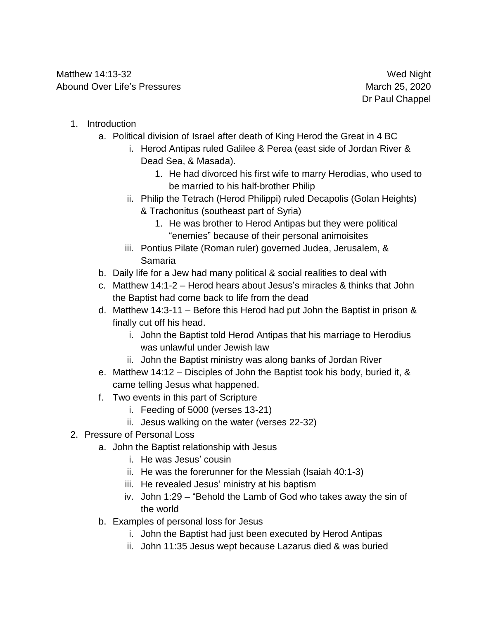- 1. Introduction
	- a. Political division of Israel after death of King Herod the Great in 4 BC
		- i. Herod Antipas ruled Galilee & Perea (east side of Jordan River & Dead Sea, & Masada).
			- 1. He had divorced his first wife to marry Herodias, who used to be married to his half-brother Philip
		- ii. Philip the Tetrach (Herod Philippi) ruled Decapolis (Golan Heights) & Trachonitus (southeast part of Syria)
			- 1. He was brother to Herod Antipas but they were political "enemies" because of their personal animoisites
		- iii. Pontius Pilate (Roman ruler) governed Judea, Jerusalem, & Samaria
	- b. Daily life for a Jew had many political & social realities to deal with
	- c. Matthew 14:1-2 Herod hears about Jesus's miracles & thinks that John the Baptist had come back to life from the dead
	- d. Matthew 14:3-11 Before this Herod had put John the Baptist in prison & finally cut off his head.
		- i. John the Baptist told Herod Antipas that his marriage to Herodius was unlawful under Jewish law
		- ii. John the Baptist ministry was along banks of Jordan River
	- e. Matthew 14:12 Disciples of John the Baptist took his body, buried it, & came telling Jesus what happened.
	- f. Two events in this part of Scripture
		- i. Feeding of 5000 (verses 13-21)
		- ii. Jesus walking on the water (verses 22-32)
- 2. Pressure of Personal Loss
	- a. John the Baptist relationship with Jesus
		- i. He was Jesus' cousin
		- ii. He was the forerunner for the Messiah (Isaiah 40:1-3)
		- iii. He revealed Jesus' ministry at his baptism
		- iv. John 1:29 "Behold the Lamb of God who takes away the sin of the world
	- b. Examples of personal loss for Jesus
		- i. John the Baptist had just been executed by Herod Antipas
		- ii. John 11:35 Jesus wept because Lazarus died & was buried